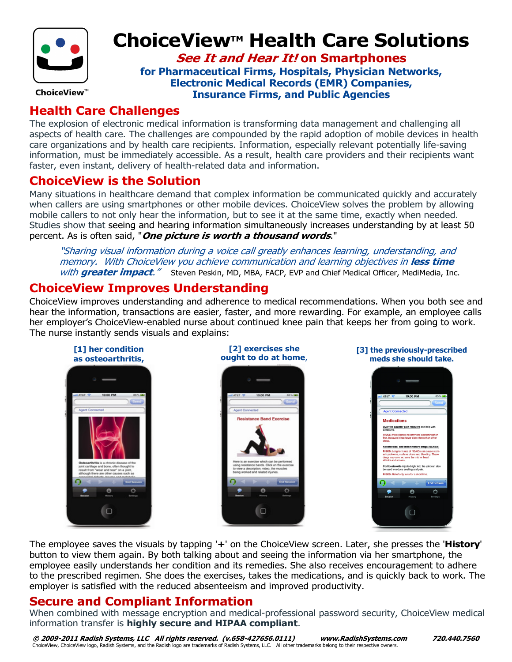

# ChoiceView™ Health Care Solutions

**See It and Hear It! on Smartphones** for Pharmaceutical Firms, Hospitals, Physician Networks, Electronic Medical Records (EMR) Companies, Insurance Firms, and Public Agencies

#### Health Care Challenges

The explosion of electronic medical information is transforming data management and challenging all aspects of health care. The challenges are compounded by the rapid adoption of mobile devices in health care organizations and by health care recipients. Information, especially relevant potentially life-saving information, must be immediately accessible. As a result, health care providers and their recipients want faster, even instant, delivery of health-related data and information.

#### ChoiceView is the Solution

Many situations in healthcare demand that complex information be communicated quickly and accurately when callers are using smartphones or other mobile devices. ChoiceView solves the problem by allowing mobile callers to not only hear the information, but to see it at the same time, exactly when needed. Studies show that seeing and hearing information simultaneously increases understanding by at least 50 percent. As is often said, "*One picture is worth a thousand words*."

"Sharing visual information during a voice call greatly enhances learning, understanding, and memory. With ChoiceView you achieve communication and learning objectives in less time with **greater impact.**" Steven Peskin, MD, MBA, FACP, EVP and Chief Medical Officer, MediMedia, Inc.

### ChoiceView Improves Understanding

ChoiceView improves understanding and adherence to medical recommendations. When you both see and hear the information, transactions are easier, faster, and more rewarding. For example, an employee calls her employer's ChoiceView-enabled nurse about continued knee pain that keeps her from going to work. The nurse instantly sends visuals and explains:



The employee saves the visuals by tapping '+' on the ChoiceView screen. Later, she presses the 'History' button to view them again. By both talking about and seeing the information via her smartphone, the employee easily understands her condition and its remedies. She also receives encouragement to adhere to the prescribed regimen. She does the exercises, takes the medications, and is quickly back to work. The employer is satisfied with the reduced absenteeism and improved productivity.

#### Secure and Compliant Information

When combined with message encryption and medical-professional password security, ChoiceView medical information transfer is highly secure and HIPAA compliant.